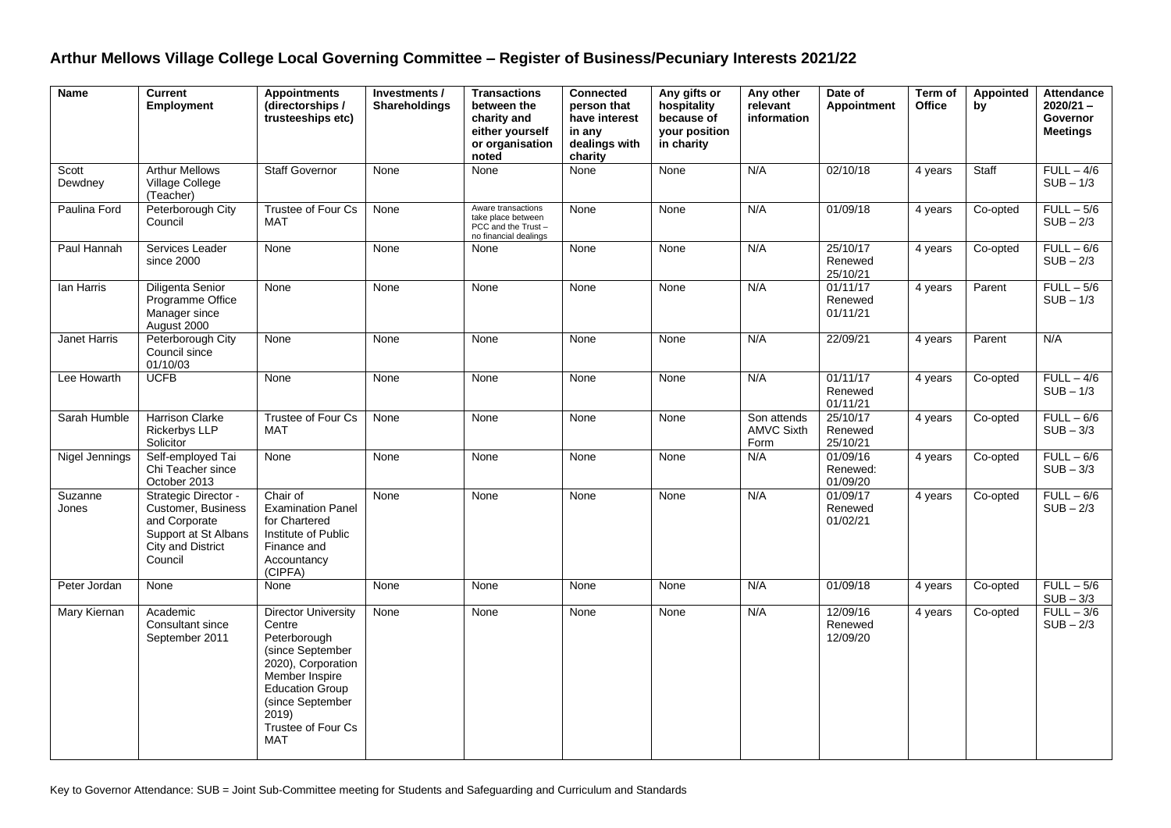## **Arthur Mellows Village College Local Governing Committee – Register of Business/Pecuniary Interests 2021/22**

| <b>Name</b>      | <b>Current</b><br><b>Employment</b>                                                                                        | <b>Appointments</b><br>(directorships /<br>trusteeships etc)                                                                                                                                                | Investments /<br><b>Shareholdings</b> | <b>Transactions</b><br>between the<br>charity and<br>either yourself<br>or organisation<br>noted | <b>Connected</b><br>person that<br>have interest<br>in any<br>dealings with<br>charity | Any gifts or<br>hospitality<br>because of<br>your position<br>in charity | Any other<br>relevant<br>information     | Date of<br><b>Appointment</b>    | Term of<br><b>Office</b> | Appointed<br>by | <b>Attendance</b><br>$2020/21 -$<br>Governor<br><b>Meetings</b> |
|------------------|----------------------------------------------------------------------------------------------------------------------------|-------------------------------------------------------------------------------------------------------------------------------------------------------------------------------------------------------------|---------------------------------------|--------------------------------------------------------------------------------------------------|----------------------------------------------------------------------------------------|--------------------------------------------------------------------------|------------------------------------------|----------------------------------|--------------------------|-----------------|-----------------------------------------------------------------|
| Scott<br>Dewdney | <b>Arthur Mellows</b><br>Village College<br>(Teacher)                                                                      | <b>Staff Governor</b>                                                                                                                                                                                       | None                                  | None                                                                                             | None                                                                                   | None                                                                     | N/A                                      | 02/10/18                         | 4 years                  | Staff           | $FULL - 4/6$<br>$SUB - 1/3$                                     |
| Paulina Ford     | Peterborough City<br>Council                                                                                               | Trustee of Four Cs<br><b>MAT</b>                                                                                                                                                                            | None                                  | Aware transactions<br>take place between<br>PCC and the Trust-<br>no financial dealings          | None                                                                                   | None                                                                     | N/A                                      | 01/09/18                         | 4 years                  | Co-opted        | $FULL - 5/6$<br>$SUB - 2/3$                                     |
| Paul Hannah      | Services Leader<br>since 2000                                                                                              | None                                                                                                                                                                                                        | None                                  | None                                                                                             | None                                                                                   | None                                                                     | N/A                                      | 25/10/17<br>Renewed<br>25/10/21  | 4 years                  | Co-opted        | $FULL - 6/6$<br>$SUB - 2/3$                                     |
| lan Harris       | Diligenta Senior<br>Programme Office<br>Manager since<br>August 2000                                                       | None                                                                                                                                                                                                        | None                                  | None                                                                                             | None                                                                                   | None                                                                     | N/A                                      | 01/11/17<br>Renewed<br>01/11/21  | 4 years                  | Parent          | $FULL - 5/6$<br>$SUB - 1/3$                                     |
| Janet Harris     | Peterborough City<br>Council since<br>01/10/03                                                                             | None                                                                                                                                                                                                        | None                                  | None                                                                                             | None                                                                                   | None                                                                     | N/A                                      | 22/09/21                         | 4 years                  | Parent          | N/A                                                             |
| Lee Howarth      | <b>UCFB</b>                                                                                                                | None                                                                                                                                                                                                        | None                                  | None                                                                                             | None                                                                                   | None                                                                     | N/A                                      | 01/11/17<br>Renewed<br>01/11/21  | 4 years                  | Co-opted        | $FULL - 4/6$<br>$SUB - 1/3$                                     |
| Sarah Humble     | <b>Harrison Clarke</b><br>Rickerbys LLP<br>Solicitor                                                                       | Trustee of Four Cs<br><b>MAT</b>                                                                                                                                                                            | None                                  | None                                                                                             | None                                                                                   | None                                                                     | Son attends<br><b>AMVC Sixth</b><br>Form | 25/10/17<br>Renewed<br>25/10/21  | 4 years                  | Co-opted        | $FULL - 6/6$<br>$SUB - 3/3$                                     |
| Nigel Jennings   | Self-employed Tai<br>Chi Teacher since<br>October 2013                                                                     | None                                                                                                                                                                                                        | None                                  | None                                                                                             | None                                                                                   | None                                                                     | N/A                                      | 01/09/16<br>Renewed:<br>01/09/20 | 4 years                  | Co-opted        | $FULL - 6/6$<br>$SUB - 3/3$                                     |
| Suzanne<br>Jones | Strategic Director -<br>Customer, Business<br>and Corporate<br>Support at St Albans<br><b>City and District</b><br>Council | Chair of<br><b>Examination Panel</b><br>for Chartered<br>Institute of Public<br>Finance and<br>Accountancy<br>(CIPFA)                                                                                       | None                                  | None                                                                                             | None                                                                                   | None                                                                     | N/A                                      | 01/09/17<br>Renewed<br>01/02/21  | 4 years                  | Co-opted        | $FULL - 6/6$<br>$SUB - 2/3$                                     |
| Peter Jordan     | None                                                                                                                       | None                                                                                                                                                                                                        | None                                  | None                                                                                             | None                                                                                   | None                                                                     | N/A                                      | 01/09/18                         | 4 years                  | Co-opted        | $FULL - 5/6$<br>$SUB - 3/3$                                     |
| Mary Kiernan     | Academic<br>Consultant since<br>September 2011                                                                             | <b>Director University</b><br>Centre<br>Peterborough<br>(since September<br>2020), Corporation<br>Member Inspire<br><b>Education Group</b><br>(since September<br>2019)<br>Trustee of Four Cs<br><b>MAT</b> | None                                  | None                                                                                             | None                                                                                   | None                                                                     | N/A                                      | 12/09/16<br>Renewed<br>12/09/20  | 4 years                  | Co-opted        | $FULL - 3/6$<br>$SUB - 2/3$                                     |